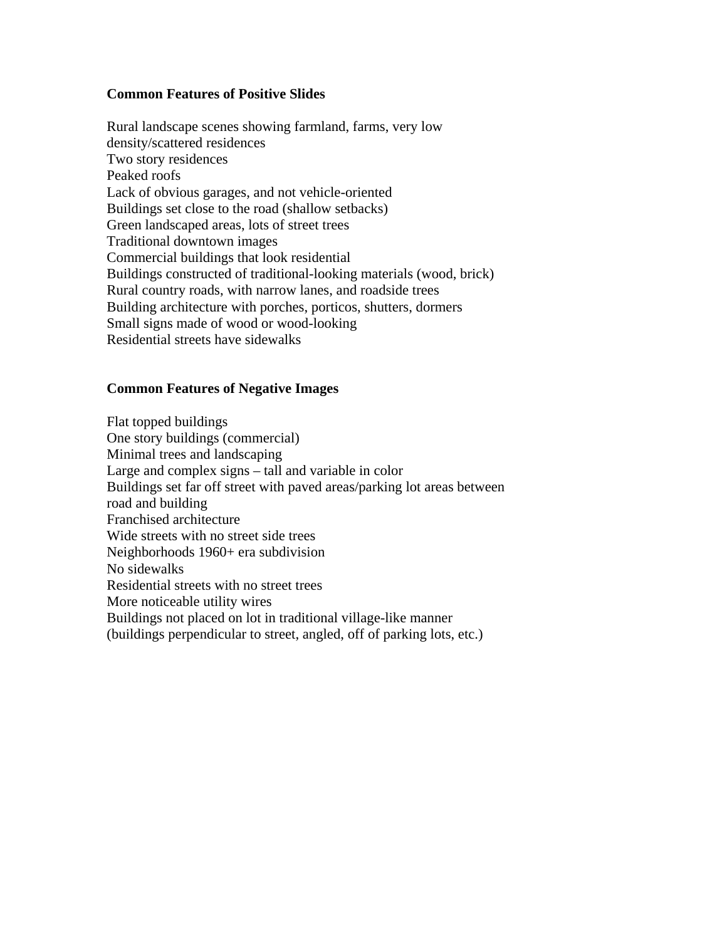## **Common Features of Positive Slides**

Rural landscape scenes showing farmland, farms, very low density/scattered residences Two story residences Peaked roofs Lack of obvious garages, and not vehicle-oriented Buildings set close to the road (shallow setbacks) Green landscaped areas, lots of street trees Traditional downtown images Commercial buildings that look residential Buildings constructed of traditional-looking materials (wood, brick) Rural country roads, with narrow lanes, and roadside trees Building architecture with porches, porticos, shutters, dormers Small signs made of wood or wood-looking Residential streets have sidewalks

## **Common Features of Negative Images**

Flat topped buildings One story buildings (commercial) Minimal trees and landscaping Large and complex signs – tall and variable in color Buildings set far off street with paved areas/parking lot areas between road and building Franchised architecture Wide streets with no street side trees Neighborhoods 1960+ era subdivision No sidewalks Residential streets with no street trees More noticeable utility wires Buildings not placed on lot in traditional village-like manner (buildings perpendicular to street, angled, off of parking lots, etc.)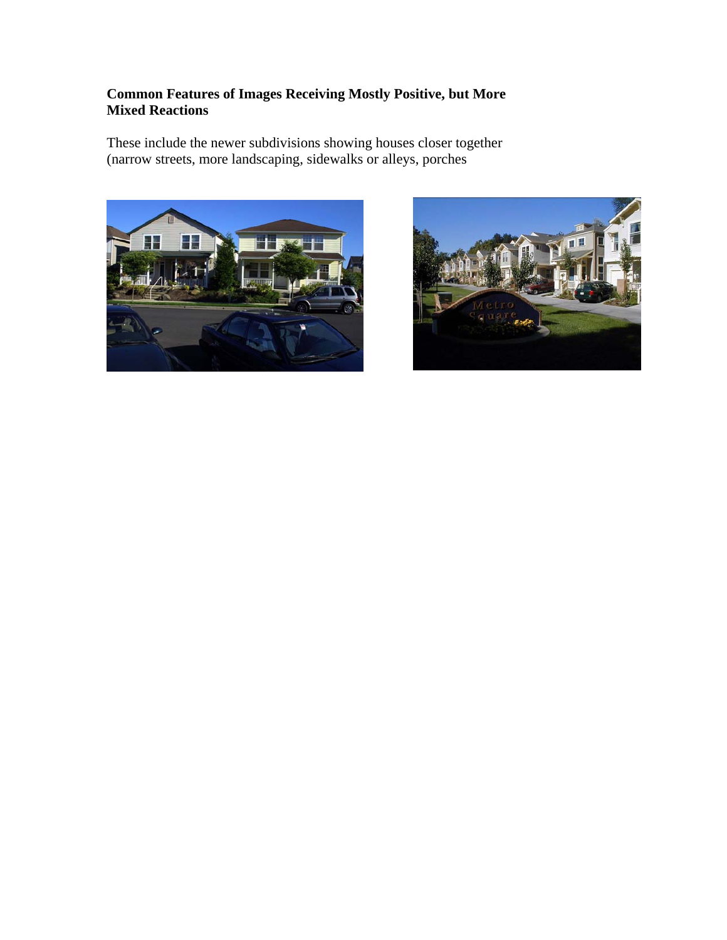## **Common Features of Images Receiving Mostly Positive, but More Mixed Reactions**

These include the newer subdivisions showing houses closer together (narrow streets, more landscaping, sidewalks or alleys, porches